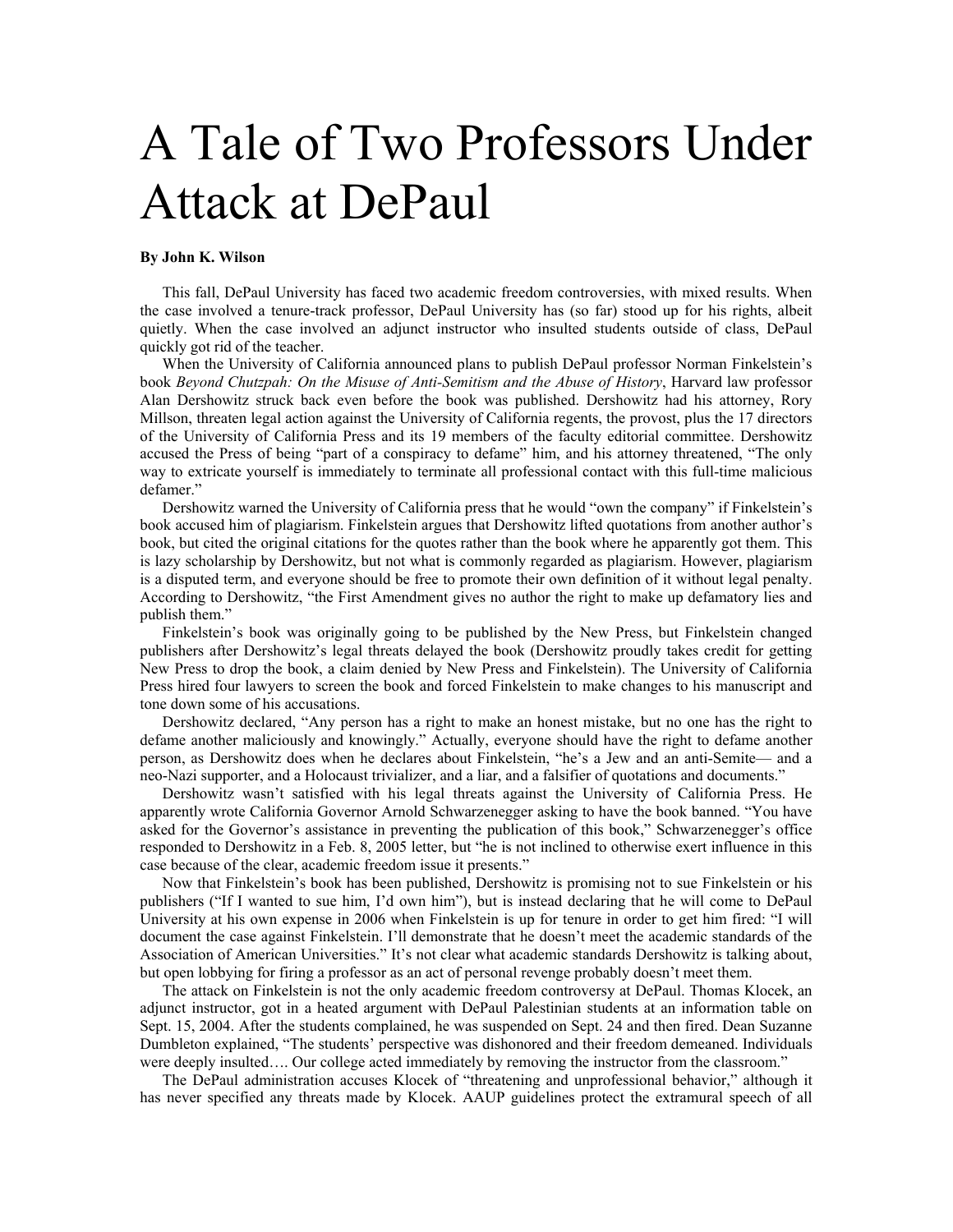## A Tale of Two Professors Under Attack at DePaul

## **By John K. Wilson**

This fall, DePaul University has faced two academic freedom controversies, with mixed results. When the case involved a tenure-track professor, DePaul University has (so far) stood up for his rights, albeit quietly. When the case involved an adjunct instructor who insulted students outside of class, DePaul quickly got rid of the teacher.

When the University of California announced plans to publish DePaul professor Norman Finkelstein's book *Beyond Chutzpah: On the Misuse of Anti-Semitism and the Abuse of History*, Harvard law professor Alan Dershowitz struck back even before the book was published. Dershowitz had his attorney, Rory Millson, threaten legal action against the University of California regents, the provost, plus the 17 directors of the University of California Press and its 19 members of the faculty editorial committee. Dershowitz accused the Press of being "part of a conspiracy to defame" him, and his attorney threatened, "The only way to extricate yourself is immediately to terminate all professional contact with this full-time malicious defamer."

Dershowitz warned the University of California press that he would "own the company" if Finkelstein's book accused him of plagiarism. Finkelstein argues that Dershowitz lifted quotations from another author's book, but cited the original citations for the quotes rather than the book where he apparently got them. This is lazy scholarship by Dershowitz, but not what is commonly regarded as plagiarism. However, plagiarism is a disputed term, and everyone should be free to promote their own definition of it without legal penalty. According to Dershowitz, "the First Amendment gives no author the right to make up defamatory lies and publish them."

Finkelstein's book was originally going to be published by the New Press, but Finkelstein changed publishers after Dershowitz's legal threats delayed the book (Dershowitz proudly takes credit for getting New Press to drop the book, a claim denied by New Press and Finkelstein). The University of California Press hired four lawyers to screen the book and forced Finkelstein to make changes to his manuscript and tone down some of his accusations.

Dershowitz declared, "Any person has a right to make an honest mistake, but no one has the right to defame another maliciously and knowingly." Actually, everyone should have the right to defame another person, as Dershowitz does when he declares about Finkelstein, "he's a Jew and an anti-Semite— and a neo-Nazi supporter, and a Holocaust trivializer, and a liar, and a falsifier of quotations and documents."

Dershowitz wasn't satisfied with his legal threats against the University of California Press. He apparently wrote California Governor Arnold Schwarzenegger asking to have the book banned. "You have asked for the Governor's assistance in preventing the publication of this book," Schwarzenegger's office responded to Dershowitz in a Feb. 8, 2005 letter, but "he is not inclined to otherwise exert influence in this case because of the clear, academic freedom issue it presents."

Now that Finkelstein's book has been published, Dershowitz is promising not to sue Finkelstein or his publishers ("If I wanted to sue him, I'd own him"), but is instead declaring that he will come to DePaul University at his own expense in 2006 when Finkelstein is up for tenure in order to get him fired: "I will document the case against Finkelstein. I'll demonstrate that he doesn't meet the academic standards of the Association of American Universities." It's not clear what academic standards Dershowitz is talking about, but open lobbying for firing a professor as an act of personal revenge probably doesn't meet them.

The attack on Finkelstein is not the only academic freedom controversy at DePaul. Thomas Klocek, an adjunct instructor, got in a heated argument with DePaul Palestinian students at an information table on Sept. 15, 2004. After the students complained, he was suspended on Sept. 24 and then fired. Dean Suzanne Dumbleton explained, "The students' perspective was dishonored and their freedom demeaned. Individuals were deeply insulted.... Our college acted immediately by removing the instructor from the classroom."

The DePaul administration accuses Klocek of "threatening and unprofessional behavior," although it has never specified any threats made by Klocek. AAUP guidelines protect the extramural speech of all